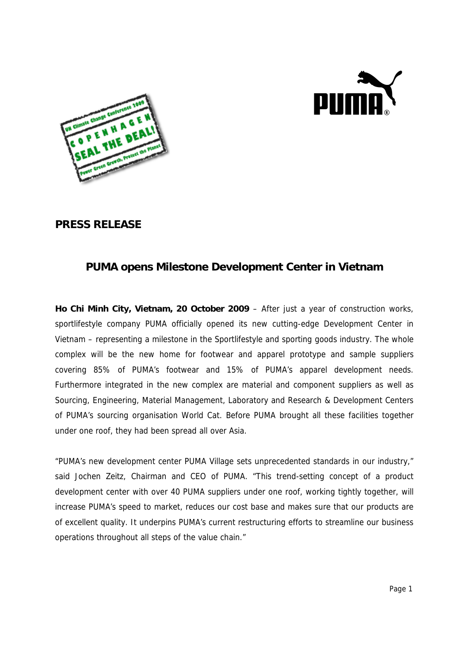



## **PRESS RELEASE**

## **PUMA opens Milestone Development Center in Vietnam**

**Ho Chi Minh City, Vietnam, 20 October 2009** – After just a year of construction works, sportlifestyle company PUMA officially opened its new cutting-edge Development Center in Vietnam – representing a milestone in the Sportlifestyle and sporting goods industry. The whole complex will be the new home for footwear and apparel prototype and sample suppliers covering 85% of PUMA's footwear and 15% of PUMA's apparel development needs. Furthermore integrated in the new complex are material and component suppliers as well as Sourcing, Engineering, Material Management, Laboratory and Research & Development Centers of PUMA's sourcing organisation World Cat. Before PUMA brought all these facilities together under one roof, they had been spread all over Asia.

"PUMA's new development center PUMA Village sets unprecedented standards in our industry," said Jochen Zeitz, Chairman and CEO of PUMA. "This trend-setting concept of a product development center with over 40 PUMA suppliers under one roof, working tightly together, will increase PUMA's speed to market, reduces our cost base and makes sure that our products are of excellent quality. It underpins PUMA's current restructuring efforts to streamline our business operations throughout all steps of the value chain."